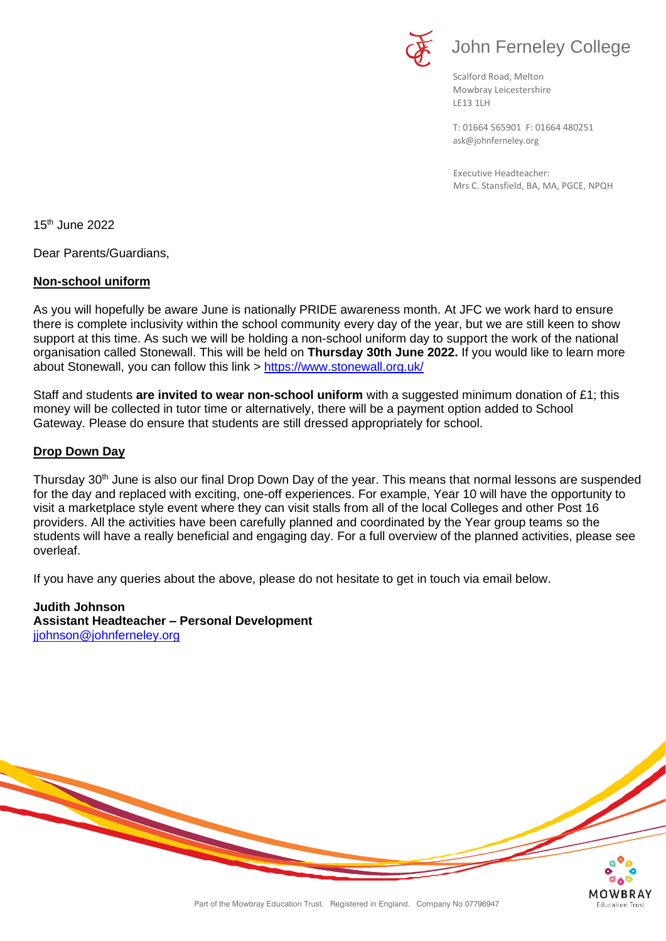

Scalford Road, Melton Mowbray Leicestershire LE13 1LH

[ask@johnferneley.org](mailto:ask@johnferneley.org) T: 01664 565901 F: 01664 480251

 Executive Headteacher: Mrs C. Stansfield, BA, MA, PGCE, NPQH

**Education Trust** 

15 th June 2022

Dear Parents/Guardians,

## **Non-school uniform**

As you will hopefully be aware June is nationally PRIDE awareness month. At JFC we work hard to ensure there is complete inclusivity within the school community every day of the year, but we are still keen to show support at this time. As such we will be holding a non-school uniform day to support the work of the national organisation called Stonewall. This will be held on **Thursday 30th June 2022.** If you would like to learn more about Stonewall, you can follow this link > <https://www.stonewall.org.uk/>

Staff and students **are invited to wear non-school uniform** with a suggested minimum donation of £1; this money will be collected in tutor time or alternatively, there will be a payment option added to School Gateway. Please do ensure that students are still dressed appropriately for school.

## **Drop Down Day**

Thursday 30<sup>th</sup> June is also our final Drop Down Day of the year. This means that normal lessons are suspended for the day and replaced with exciting, one-off experiences. For example, Year 10 will have the opportunity to visit a marketplace style event where they can visit stalls from all of the local Colleges and other Post 16 providers. All the activities have been carefully planned and coordinated by the Year group teams so the students will have a really beneficial and engaging day. For a full overview of the planned activities, please see overleaf.

If you have any queries about the above, please do not hesitate to get in touch via email below.

**Judith Johnson Assistant Headteacher – Personal Development** [jjohnson@johnferneley.org](mailto:jjohnson@johnferneley.org)